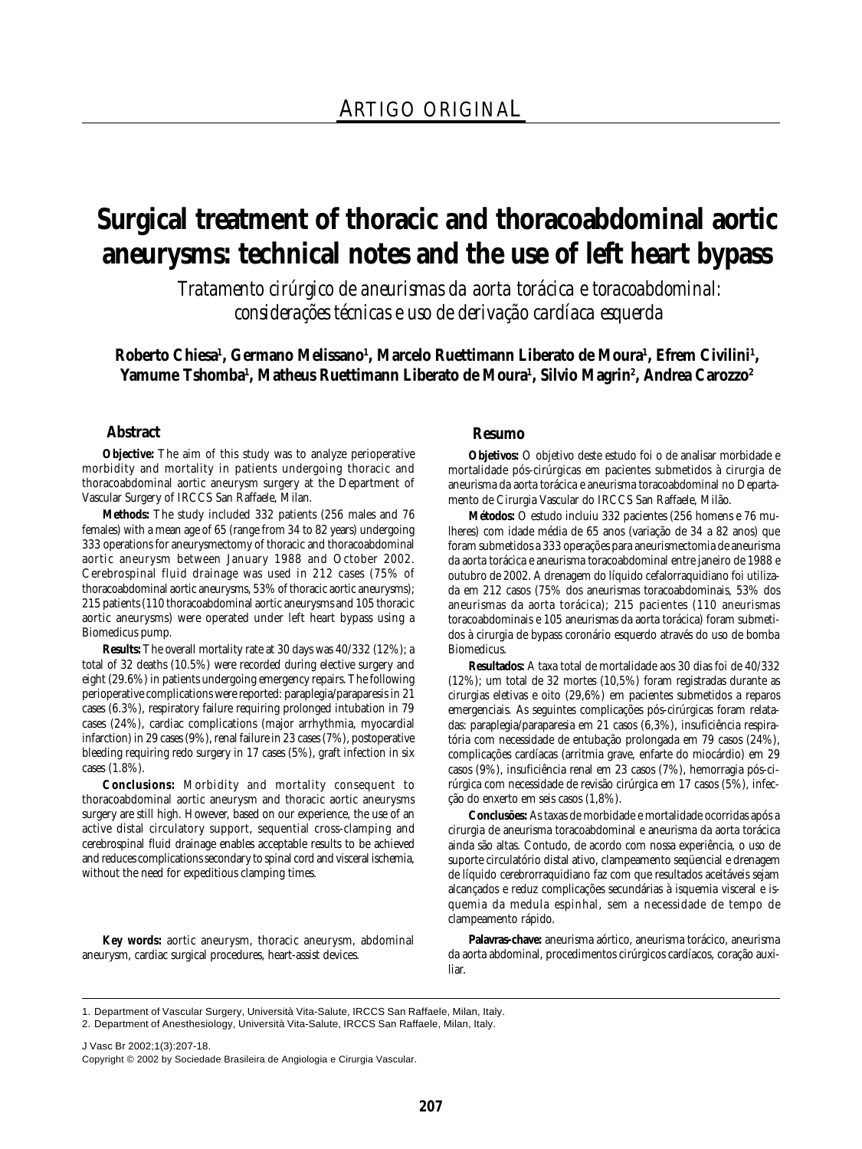# **Surgical treatment of thoracic and thoracoabdominal aortic aneurysms: technical notes and the use of left heart bypass**

*Tratamento cirúrgico de aneurismas da aorta torácica e toracoabdominal: considerações técnicas e uso de derivação cardíaca esquerda*

Roberto Chiesa<sup>ı</sup>, Germano Melissano<sup>ı</sup>, Marcelo Ruettimann Liberato de Moura<sup>ı</sup>, Efrem Civilini<sup>ı</sup>, **Yamume Tshomba1 , Matheus Ruettimann Liberato de Moura1 , Silvio Magrin2 , Andrea Carozzo2**

#### **Abstract**

**Objective:** The aim of this study was to analyze perioperative morbidity and mortality in patients undergoing thoracic and thoracoabdominal aortic aneurysm surgery at the Department of Vascular Surgery of IRCCS San Raffaele, Milan.

**Methods:** The study included 332 patients (256 males and 76 females) with a mean age of 65 (range from 34 to 82 years) undergoing 333 operations for aneurysmectomy of thoracic and thoracoabdominal aortic aneurysm between January 1988 and October 2002. Cerebrospinal fluid drainage was used in 212 cases (75% of thoracoabdominal aortic aneurysms, 53% of thoracic aortic aneurysms); 215 patients (110 thoracoabdominal aortic aneurysms and 105 thoracic aortic aneurysms) were operated under left heart bypass using a Biomedicus pump.

**Results:** The overall mortality rate at 30 days was 40/332 (12%); a total of 32 deaths (10.5%) were recorded during elective surgery and eight (29.6%) in patients undergoing emergency repairs. The following perioperative complications were reported: paraplegia/paraparesis in 21 cases (6.3%), respiratory failure requiring prolonged intubation in 79 cases (24%), cardiac complications (major arrhythmia, myocardial infarction) in 29 cases (9%), renal failure in 23 cases (7%), postoperative bleeding requiring redo surgery in 17 cases (5%), graft infection in six cases (1.8%).

**Conclusions:** Morbidity and mortality consequent to thoracoabdominal aortic aneurysm and thoracic aortic aneurysms surgery are still high. However, based on our experience, the use of an active distal circulatory support, sequential cross-clamping and cerebrospinal fluid drainage enables acceptable results to be achieved and reduces complications secondary to spinal cord and visceral ischemia, without the need for expeditious clamping times.

**Key words:** aortic aneurysm, thoracic aneurysm, abdominal aneurysm, cardiac surgical procedures, heart-assist devices.

#### **Resumo**

**Objetivos:** O objetivo deste estudo foi o de analisar morbidade e mortalidade pós-cirúrgicas em pacientes submetidos à cirurgia de aneurisma da aorta torácica e aneurisma toracoabdominal no Departamento de Cirurgia Vascular do IRCCS San Raffaele, Milão.

**Métodos:** O estudo incluiu 332 pacientes (256 homens e 76 mulheres) com idade média de 65 anos (variação de 34 a 82 anos) que foram submetidos a 333 operações para aneurismectomia de aneurisma da aorta torácica e aneurisma toracoabdominal entre janeiro de 1988 e outubro de 2002. A drenagem do líquido cefalorraquidiano foi utilizada em 212 casos (75% dos aneurismas toracoabdominais, 53% dos aneurismas da aorta torácica); 215 pacientes (110 aneurismas toracoabdominais e 105 aneurismas da aorta torácica) foram submetidos à cirurgia de bypass coronário esquerdo através do uso de bomba Biomedicus.

**Resultados:** A taxa total de mortalidade aos 30 dias foi de 40/332 (12%); um total de 32 mortes (10,5%) foram registradas durante as cirurgias eletivas e oito (29,6%) em pacientes submetidos a reparos emergenciais. As seguintes complicações pós-cirúrgicas foram relatadas: paraplegia/paraparesia em 21 casos (6,3%), insuficiência respiratória com necessidade de entubação prolongada em 79 casos (24%), complicações cardíacas (arritmia grave, enfarte do miocárdio) em 29 casos (9%), insuficiência renal em 23 casos (7%), hemorragia pós-cirúrgica com necessidade de revisão cirúrgica em 17 casos (5%), infecção do enxerto em seis casos (1,8%).

**Conclusões:** As taxas de morbidade e mortalidade ocorridas após a cirurgia de aneurisma toracoabdominal e aneurisma da aorta torácica ainda são altas. Contudo, de acordo com nossa experiência, o uso de suporte circulatório distal ativo, clampeamento seqüencial e drenagem de líquido cerebrorraquidiano faz com que resultados aceitáveis sejam alcançados e reduz complicações secundárias à isquemia visceral e isquemia da medula espinhal, sem a necessidade de tempo de clampeamento rápido.

**Palavras-chave:** aneurisma aórtico, aneurisma torácico, aneurisma da aorta abdominal, procedimentos cirúrgicos cardíacos, coração auxiliar.

1. Department of Vascular Surgery, Università Vita-Salute, IRCCS San Raffaele, Milan, Italy.

2. Department of Anesthesiology, Università Vita-Salute, IRCCS San Raffaele, Milan, Italy.

J Vasc Br 2002;1(3):207-18. Copyright © 2002 by Sociedade Brasileira de Angiologia e Cirurgia Vascular.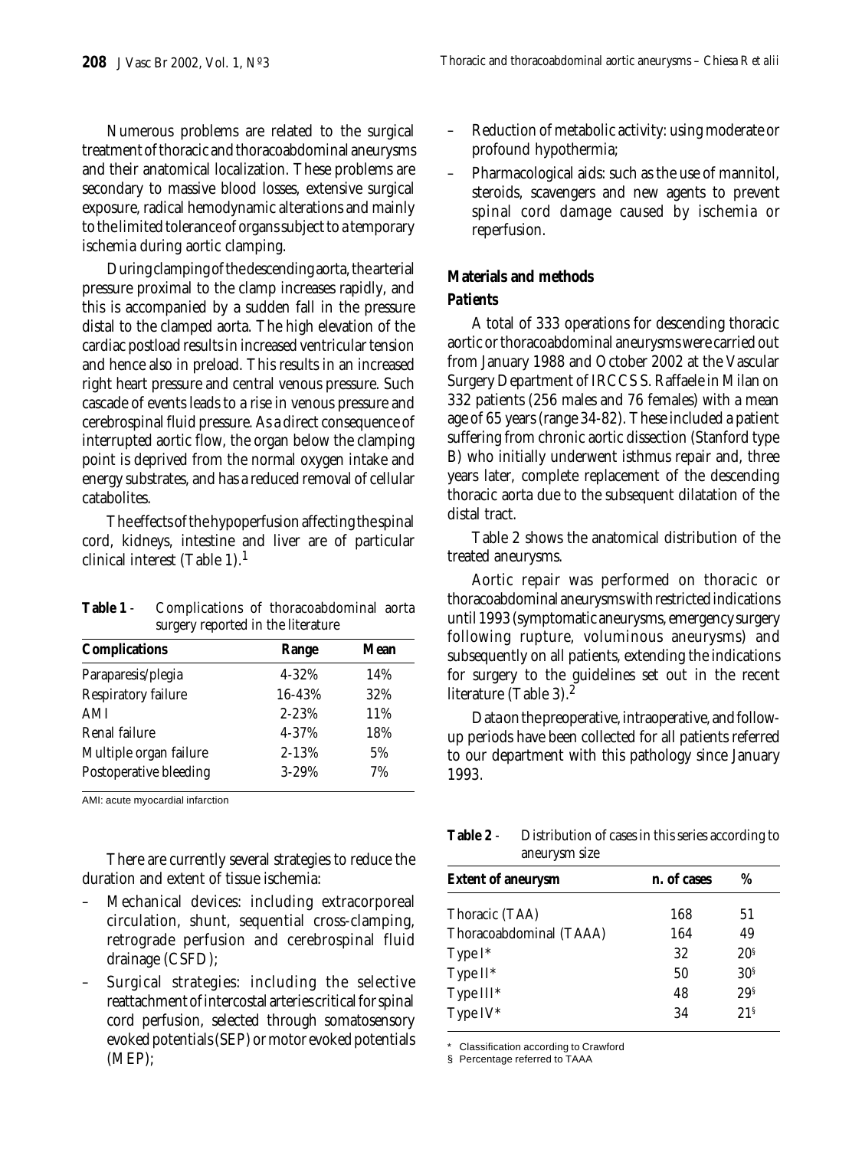Numerous problems are related to the surgical treatment of thoracic and thoracoabdominal aneurysms and their anatomical localization. These problems are secondary to massive blood losses, extensive surgical exposure, radical hemodynamic alterations and mainly to the limited tolerance of organs subject to a temporary ischemia during aortic clamping.

During clamping of the descending aorta, the arterial pressure proximal to the clamp increases rapidly, and this is accompanied by a sudden fall in the pressure distal to the clamped aorta. The high elevation of the cardiac postload results in increased ventricular tension and hence also in preload. This results in an increased right heart pressure and central venous pressure. Such cascade of events leads to a rise in venous pressure and cerebrospinal fluid pressure. As a direct consequence of interrupted aortic flow, the organ below the clamping point is deprived from the normal oxygen intake and energy substrates, and has a reduced removal of cellular catabolites.

The effects of the hypoperfusion affecting the spinal cord, kidneys, intestine and liver are of particular clinical interest (Table 1).1

| Table 1 - | Complications of thoracoabdominal aorta |  |
|-----------|-----------------------------------------|--|
|           | surgery reported in the literature      |  |

| <b>Complications</b>   | Range     | Mean |
|------------------------|-----------|------|
| Paraparesis/plegia     | $4 - 32%$ | 14%  |
| Respiratory failure    | 16-43%    | 32%  |
| AMI                    | $2 - 23%$ | 11%  |
| Renal failure          | 4-37%     | 18%  |
| Multiple organ failure | $2 - 13%$ | 5%   |
| Postoperative bleeding | $3 - 29%$ | 7%   |

AMI: acute myocardial infarction

There are currently several strategies to reduce the duration and extent of tissue ischemia:

- Mechanical devices: including extracorporeal circulation, shunt, sequential cross-clamping, retrograde perfusion and cerebrospinal fluid drainage (CSFD);
- Surgical strategies: including the selective reattachment of intercostal arteries critical for spinal cord perfusion, selected through somatosensory evoked potentials (SEP) or motor evoked potentials (MEP);
- Reduction of metabolic activity: using moderate or profound hypothermia;
- Pharmacological aids: such as the use of mannitol, steroids, scavengers and new agents to prevent spinal cord damage caused by ischemia or reperfusion.

# **Materials and methods**

# *Patients*

A total of 333 operations for descending thoracic aortic or thoracoabdominal aneurysms were carried out from January 1988 and October 2002 at the Vascular Surgery Department of IRCCS S. Raffaele in Milan on 332 patients (256 males and 76 females) with a mean age of 65 years (range 34-82). These included a patient suffering from chronic aortic dissection (Stanford type B) who initially underwent isthmus repair and, three years later, complete replacement of the descending thoracic aorta due to the subsequent dilatation of the distal tract.

Table 2 shows the anatomical distribution of the treated aneurysms.

Aortic repair was performed on thoracic or thoracoabdominal aneurysms with restricted indications until 1993 (symptomatic aneurysms, emergency surgery following rupture, voluminous aneurysms) and subsequently on all patients, extending the indications for surgery to the guidelines set out in the recent literature (Table 3).<sup>2</sup>

Data on the preoperative, intraoperative, and followup periods have been collected for all patients referred to our department with this pathology since January 1993.

**Table 2** - Distribution of cases in this series according to aneurysm size

| <b>Extent of aneurysm</b> | n. of cases | %               |
|---------------------------|-------------|-----------------|
| Thoracic (TAA)            | 168         | 51              |
| Thoracoabdominal (TAAA)   | 164         | 49              |
| Type $I^*$                | 32          | 20 <sup>s</sup> |
| Type II*                  | 50          | 30 <sup>s</sup> |
| Type III*                 | 48          | 29 <sup>s</sup> |
| Type IV*                  | 34          | 21 <sup>s</sup> |

\* Classification according to Crawford

§ Percentage referred to TAAA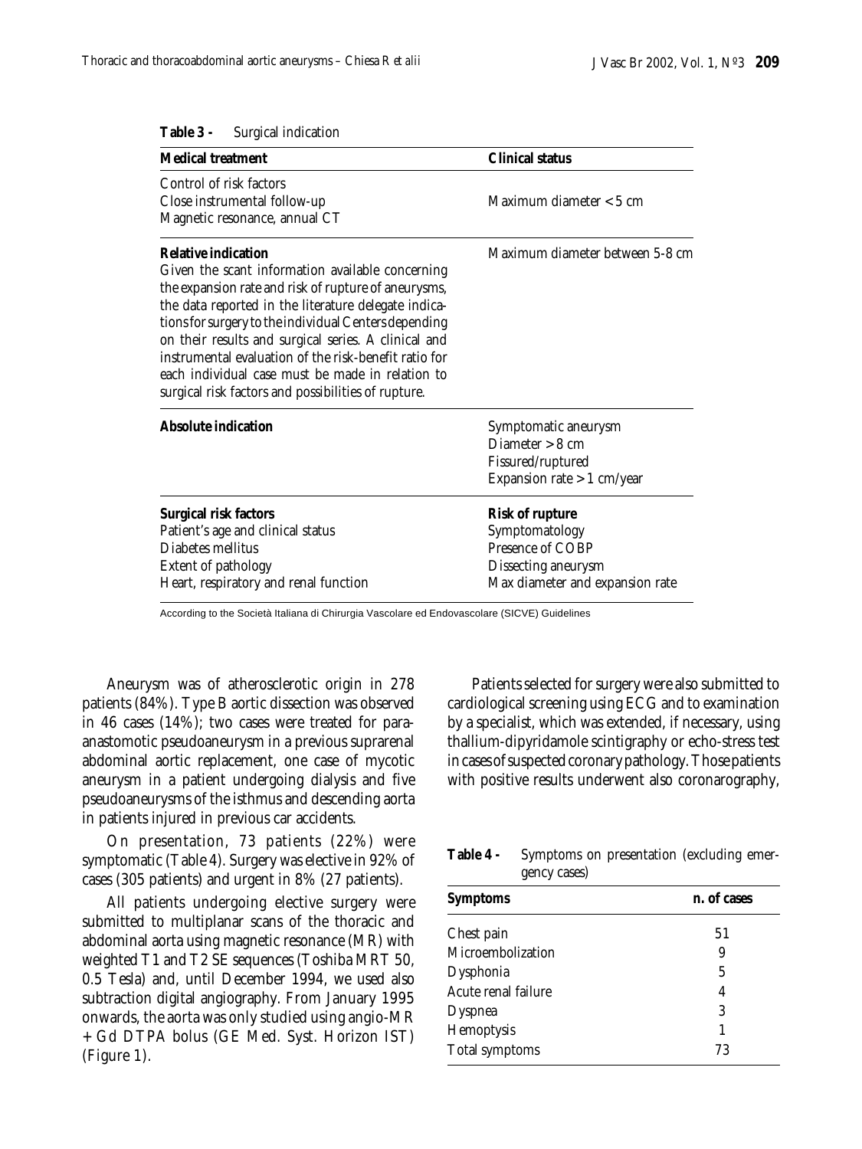| <b>Medical treatment</b>                                                                                                                                                                                                                                                                                                                                                                                                                                                            | <b>Clinical status</b>                                                                                                 |  |
|-------------------------------------------------------------------------------------------------------------------------------------------------------------------------------------------------------------------------------------------------------------------------------------------------------------------------------------------------------------------------------------------------------------------------------------------------------------------------------------|------------------------------------------------------------------------------------------------------------------------|--|
| Control of risk factors<br>Close instrumental follow-up<br>Magnetic resonance, annual CT                                                                                                                                                                                                                                                                                                                                                                                            | Maximum diameter $< 5$ cm                                                                                              |  |
| <b>Relative indication</b><br>Given the scant information available concerning<br>the expansion rate and risk of rupture of aneurysms,<br>the data reported in the literature delegate indica-<br>tions for surgery to the individual Centers depending<br>on their results and surgical series. A clinical and<br>instrumental evaluation of the risk-benefit ratio for<br>each individual case must be made in relation to<br>surgical risk factors and possibilities of rupture. | Maximum diameter between 5-8 cm                                                                                        |  |
| Absolute indication                                                                                                                                                                                                                                                                                                                                                                                                                                                                 | Symptomatic aneurysm<br>Diameter $> 8$ cm<br>Fissured/ruptured<br>Expansion rate $> 1$ cm/year                         |  |
| <b>Surgical risk factors</b><br>Patient's age and clinical status<br>Diabetes mellitus<br><b>Extent of pathology</b><br>Heart, respiratory and renal function                                                                                                                                                                                                                                                                                                                       | <b>Risk of rupture</b><br>Symptomatology<br>Presence of COBP<br>Dissecting aneurysm<br>Max diameter and expansion rate |  |

**Table 3 -** Surgical indication

According to the Società Italiana di Chirurgia Vascolare ed Endovascolare (SICVE) Guidelines

Aneurysm was of atherosclerotic origin in 278 patients (84%). Type B aortic dissection was observed in 46 cases (14%); two cases were treated for paraanastomotic pseudoaneurysm in a previous suprarenal abdominal aortic replacement, one case of mycotic aneurysm in a patient undergoing dialysis and five pseudoaneurysms of the isthmus and descending aorta in patients injured in previous car accidents.

On presentation, 73 patients (22%) were symptomatic (Table 4). Surgery was elective in 92% of cases (305 patients) and urgent in 8% (27 patients).

All patients undergoing elective surgery were submitted to multiplanar scans of the thoracic and abdominal aorta using magnetic resonance (MR) with weighted T1 and T2 SE sequences (Toshiba MRT 50, 0.5 Tesla) and, until December 1994, we used also subtraction digital angiography. From January 1995 onwards, the aorta was only studied using angio-MR + Gd DTPA bolus (GE Med. Syst. Horizon IST) (Figure 1).

Patients selected for surgery were also submitted to cardiological screening using ECG and to examination by a specialist, which was extended, if necessary, using thallium-dipyridamole scintigraphy or echo-stress test in cases of suspected coronary pathology. Those patients with positive results underwent also coronarography,

**Table 4 -** Symptoms on presentation (excluding emergency cases)

| <b>Symptoms</b>     | n. of cases |  |  |
|---------------------|-------------|--|--|
| Chest pain          | 51          |  |  |
| Microembolization   | 9           |  |  |
| Dysphonia           | 5           |  |  |
| Acute renal failure | 4           |  |  |
| <b>Dyspnea</b>      | 3           |  |  |
| Hemoptysis          | 1           |  |  |
| Total symptoms      | 73          |  |  |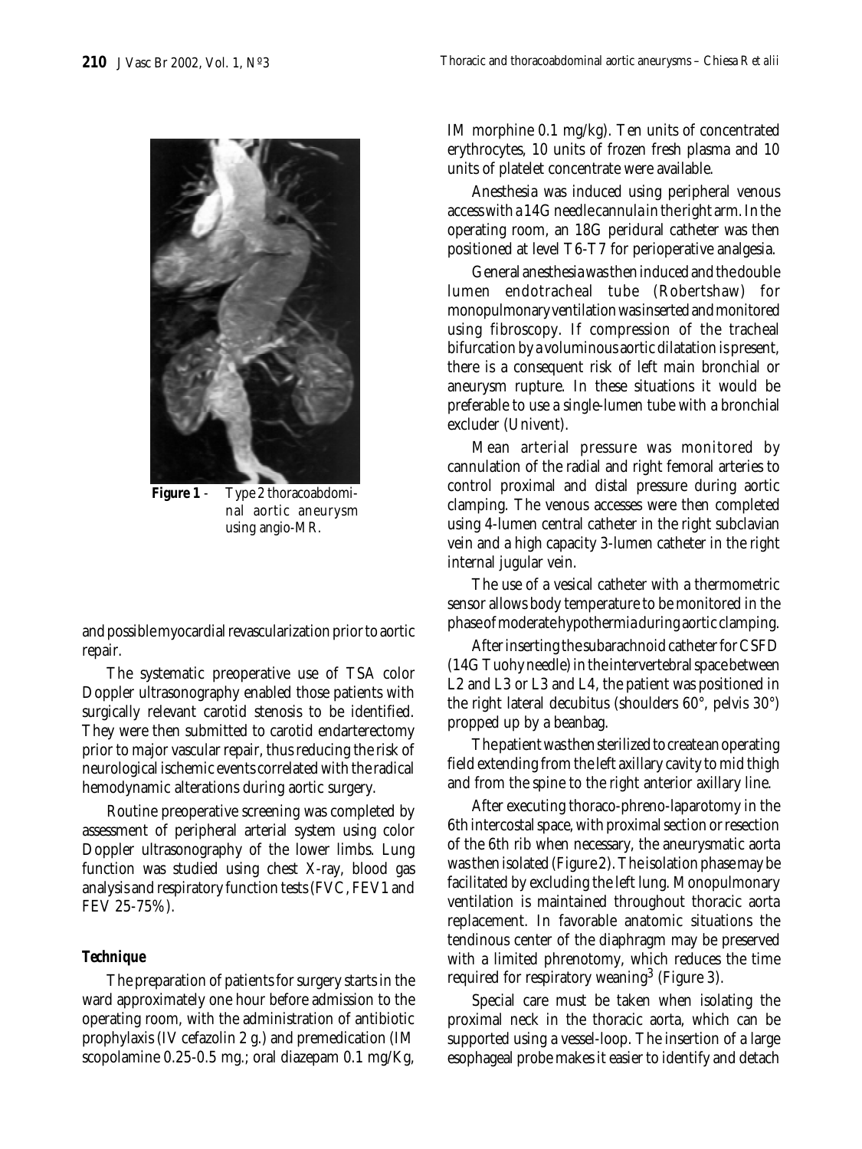

**Figure 1** - Type 2 thoracoabdominal aortic aneurysm using angio-MR.

and possible myocardial revascularization prior to aortic repair.

The systematic preoperative use of TSA color Doppler ultrasonography enabled those patients with surgically relevant carotid stenosis to be identified. They were then submitted to carotid endarterectomy prior to major vascular repair, thus reducing the risk of neurological ischemic events correlated with the radical hemodynamic alterations during aortic surgery.

Routine preoperative screening was completed by assessment of peripheral arterial system using color Doppler ultrasonography of the lower limbs. Lung function was studied using chest X-ray, blood gas analysis and respiratory function tests (FVC, FEV1 and FEV 25-75%).

### *Technique*

The preparation of patients for surgery starts in the ward approximately one hour before admission to the operating room, with the administration of antibiotic prophylaxis (IV cefazolin 2 g.) and premedication (IM scopolamine 0.25-0.5 mg.; oral diazepam 0.1 mg/Kg, IM morphine 0.1 mg/kg). Ten units of concentrated erythrocytes, 10 units of frozen fresh plasma and 10 units of platelet concentrate were available.

Anesthesia was induced using peripheral venous access with a 14G needle cannula in the right arm. In the operating room, an 18G peridural catheter was then positioned at level T6-T7 for perioperative analgesia.

General anesthesia was then induced and the double lumen endotracheal tube (Robertshaw) for monopulmonary ventilation was inserted and monitored using fibroscopy. If compression of the tracheal bifurcation by a voluminous aortic dilatation is present, there is a consequent risk of left main bronchial or aneurysm rupture. In these situations it would be preferable to use a single-lumen tube with a bronchial excluder (Univent).

Mean arterial pressure was monitored by cannulation of the radial and right femoral arteries to control proximal and distal pressure during aortic clamping. The venous accesses were then completed using 4-lumen central catheter in the right subclavian vein and a high capacity 3-lumen catheter in the right internal jugular vein.

The use of a vesical catheter with a thermometric sensor allows body temperature to be monitored in the phase of moderate hypothermia during aortic clamping.

After inserting the subarachnoid catheter for CSFD (14G Tuohy needle) in the intervertebral space between L2 and L3 or L3 and L4, the patient was positioned in the right lateral decubitus (shoulders 60°, pelvis 30°) propped up by a beanbag.

The patient was then sterilized to create an operating field extending from the left axillary cavity to mid thigh and from the spine to the right anterior axillary line.

After executing thoraco-phreno-laparotomy in the 6th intercostal space, with proximal section or resection of the 6th rib when necessary, the aneurysmatic aorta was then isolated (Figure 2). The isolation phase may be facilitated by excluding the left lung. Monopulmonary ventilation is maintained throughout thoracic aorta replacement. In favorable anatomic situations the tendinous center of the diaphragm may be preserved with a limited phrenotomy, which reduces the time required for respiratory weaning<sup>3</sup> (Figure 3).

Special care must be taken when isolating the proximal neck in the thoracic aorta, which can be supported using a vessel-loop. The insertion of a large esophageal probe makes it easier to identify and detach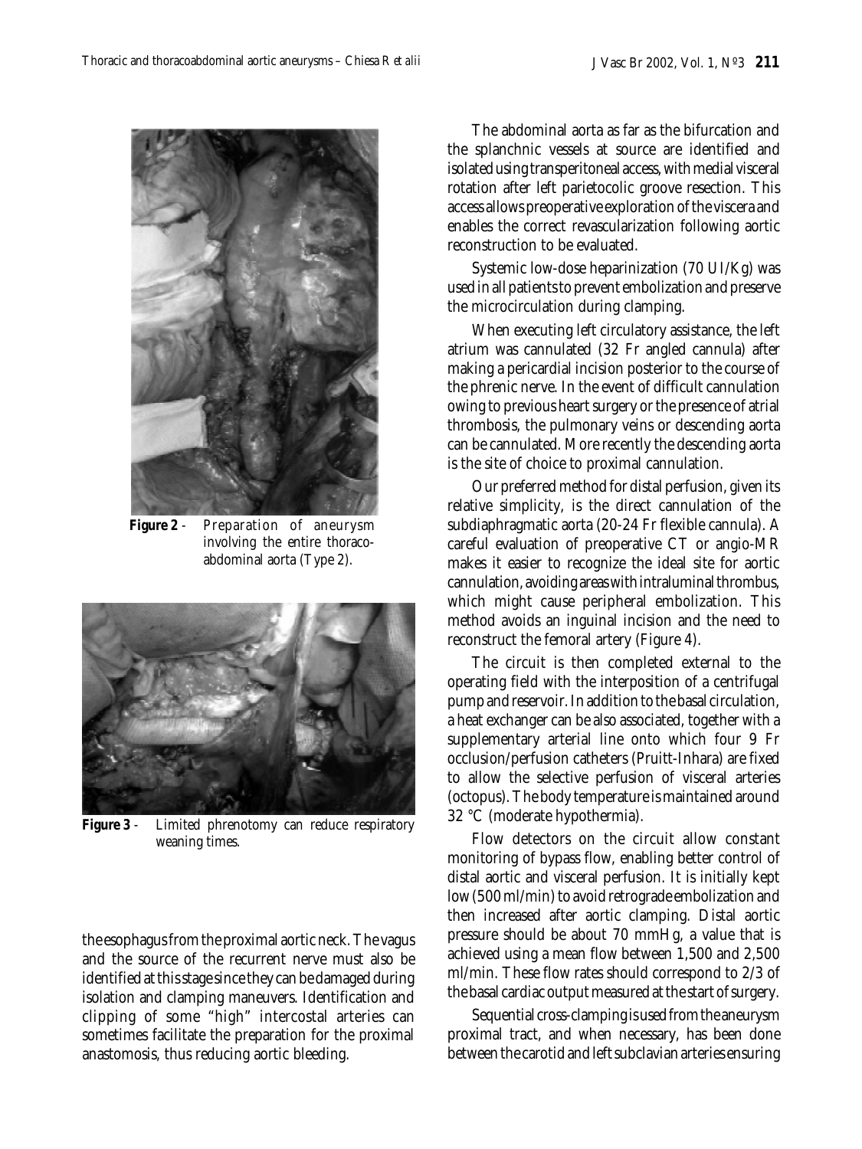

**Figure 2** - Preparation of aneurysm involving the entire thoracoabdominal aorta (Type 2).



**Figure 3** - Limited phrenotomy can reduce respiratory weaning times.

the esophagus from the proximal aortic neck. The vagus and the source of the recurrent nerve must also be identified at this stage since they can be damaged during isolation and clamping maneuvers. Identification and clipping of some "high" intercostal arteries can sometimes facilitate the preparation for the proximal anastomosis, thus reducing aortic bleeding.

The abdominal aorta as far as the bifurcation and the splanchnic vessels at source are identified and isolated using transperitoneal access, with medial visceral rotation after left parietocolic groove resection. This access allows preoperative exploration of the viscera and enables the correct revascularization following aortic reconstruction to be evaluated.

Systemic low-dose heparinization (70 UI/Kg) was used in all patients to prevent embolization and preserve the microcirculation during clamping.

When executing left circulatory assistance, the left atrium was cannulated (32 Fr angled cannula) after making a pericardial incision posterior to the course of the phrenic nerve. In the event of difficult cannulation owing to previous heart surgery or the presence of atrial thrombosis, the pulmonary veins or descending aorta can be cannulated. More recently the descending aorta is the site of choice to proximal cannulation.

Our preferred method for distal perfusion, given its relative simplicity, is the direct cannulation of the subdiaphragmatic aorta (20-24 Fr flexible cannula). A careful evaluation of preoperative CT or angio-MR makes it easier to recognize the ideal site for aortic cannulation, avoiding areas with intraluminal thrombus, which might cause peripheral embolization. This method avoids an inguinal incision and the need to reconstruct the femoral artery (Figure 4).

The circuit is then completed external to the operating field with the interposition of a centrifugal pump and reservoir. In addition to the basal circulation, a heat exchanger can be also associated, together with a supplementary arterial line onto which four 9 Fr occlusion/perfusion catheters (Pruitt-Inhara) are fixed to allow the selective perfusion of visceral arteries (octopus). The body temperature is maintained around 32 °C (moderate hypothermia).

Flow detectors on the circuit allow constant monitoring of bypass flow, enabling better control of distal aortic and visceral perfusion. It is initially kept low (500 ml/min) to avoid retrograde embolization and then increased after aortic clamping. Distal aortic pressure should be about 70 mmHg, a value that is achieved using a mean flow between 1,500 and 2,500 ml/min. These flow rates should correspond to 2/3 of the basal cardiac output measured at the start of surgery.

Sequential cross-clamping is used from the aneurysm proximal tract, and when necessary, has been done between the carotid and left subclavian arteries ensuring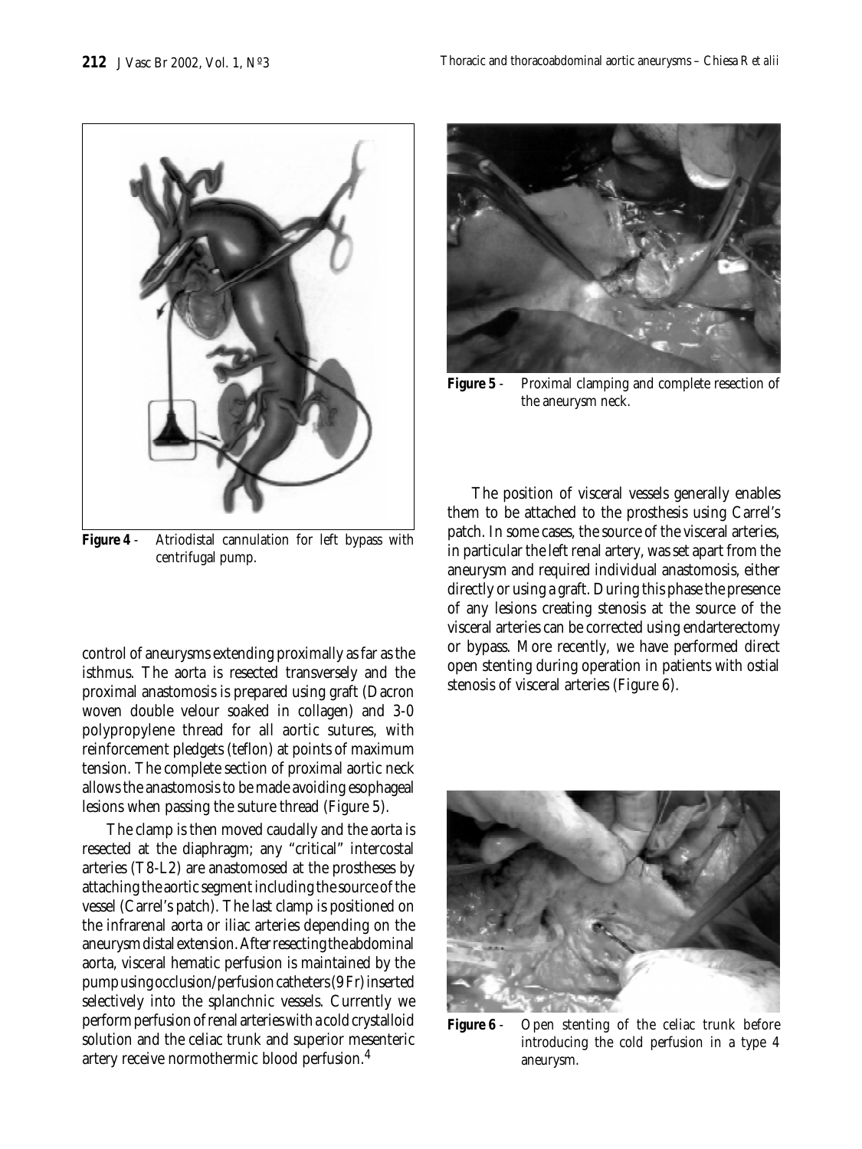

**Figure 4** - Atriodistal cannulation for left bypass with centrifugal pump.

control of aneurysms extending proximally as far as the isthmus. The aorta is resected transversely and the proximal anastomosis is prepared using graft (Dacron woven double velour soaked in collagen) and 3-0 polypropylene thread for all aortic sutures, with reinforcement pledgets (teflon) at points of maximum tension. The complete section of proximal aortic neck allows the anastomosis to be made avoiding esophageal lesions when passing the suture thread (Figure 5).

The clamp is then moved caudally and the aorta is resected at the diaphragm; any "critical" intercostal arteries (T8-L2) are anastomosed at the prostheses by attaching the aortic segment including the source of the vessel (Carrel's patch). The last clamp is positioned on the infrarenal aorta or iliac arteries depending on the aneurysm distal extension. After resecting the abdominal aorta, visceral hematic perfusion is maintained by the pump using occlusion/perfusion catheters (9 Fr) inserted selectively into the splanchnic vessels. Currently we perform perfusion of renal arteries with a cold crystalloid solution and the celiac trunk and superior mesenteric artery receive normothermic blood perfusion.<sup>4</sup>



**Figure 5** - Proximal clamping and complete resection of the aneurysm neck.

The position of visceral vessels generally enables them to be attached to the prosthesis using Carrel's patch. In some cases, the source of the visceral arteries, in particular the left renal artery, was set apart from the aneurysm and required individual anastomosis, either directly or using a graft. During this phase the presence of any lesions creating stenosis at the source of the visceral arteries can be corrected using endarterectomy or bypass. More recently, we have performed direct open stenting during operation in patients with ostial stenosis of visceral arteries (Figure 6).



**Figure 6** - Open stenting of the celiac trunk before introducing the cold perfusion in a type 4 aneurysm.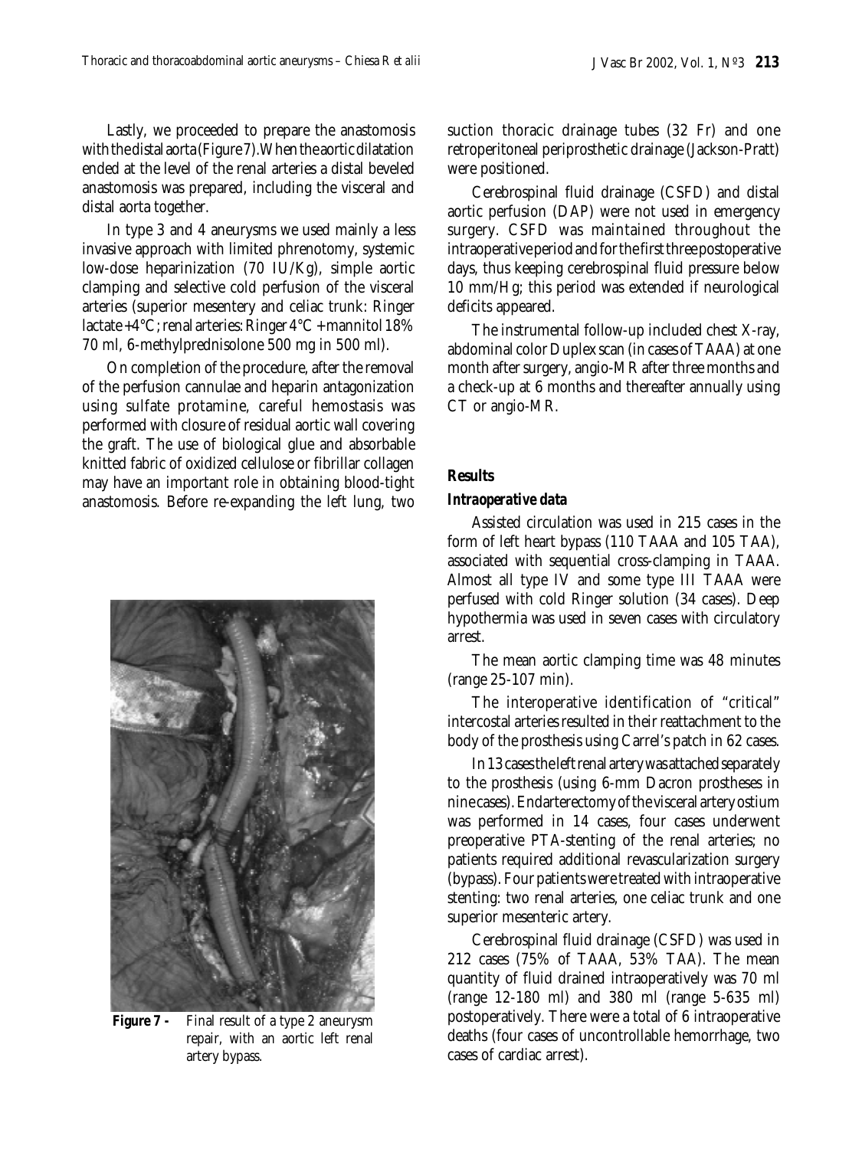Lastly, we proceeded to prepare the anastomosis with the distal aorta (Figure 7).When the aortic dilatation ended at the level of the renal arteries a distal beveled anastomosis was prepared, including the visceral and distal aorta together.

In type 3 and 4 aneurysms we used mainly a less invasive approach with limited phrenotomy, systemic low-dose heparinization (70 IU/Kg), simple aortic clamping and selective cold perfusion of the visceral arteries (superior mesentery and celiac trunk: Ringer lactate +4°C; renal arteries: Ringer 4°C + mannitol 18% 70 ml, 6-methylprednisolone 500 mg in 500 ml).

On completion of the procedure, after the removal of the perfusion cannulae and heparin antagonization using sulfate protamine, careful hemostasis was performed with closure of residual aortic wall covering the graft. The use of biological glue and absorbable knitted fabric of oxidized cellulose or fibrillar collagen may have an important role in obtaining blood-tight anastomosis. Before re-expanding the left lung, two



**Figure 7 -** Final result of a type 2 aneurysm repair, with an aortic left renal artery bypass.

suction thoracic drainage tubes (32 Fr) and one retroperitoneal periprosthetic drainage (Jackson-Pratt) were positioned.

Cerebrospinal fluid drainage (CSFD) and distal aortic perfusion (DAP) were not used in emergency surgery. CSFD was maintained throughout the intraoperative period and for the first three postoperative days, thus keeping cerebrospinal fluid pressure below 10 mm/Hg; this period was extended if neurological deficits appeared.

The instrumental follow-up included chest X-ray, abdominal color Duplex scan (in cases of TAAA) at one month after surgery, angio-MR after three months and a check-up at 6 months and thereafter annually using CT or angio-MR.

## **Results**

#### *Intraoperative data*

Assisted circulation was used in 215 cases in the form of left heart bypass (110 TAAA and 105 TAA), associated with sequential cross-clamping in TAAA. Almost all type IV and some type III TAAA were perfused with cold Ringer solution (34 cases). Deep hypothermia was used in seven cases with circulatory arrest.

The mean aortic clamping time was 48 minutes (range 25-107 min).

The interoperative identification of "critical" intercostal arteries resulted in their reattachment to the body of the prosthesis using Carrel's patch in 62 cases.

In 13 cases the left renal artery was attached separately to the prosthesis (using 6-mm Dacron prostheses in nine cases). Endarterectomy of the visceral artery ostium was performed in 14 cases, four cases underwent preoperative PTA-stenting of the renal arteries; no patients required additional revascularization surgery (bypass). Four patients were treated with intraoperative stenting: two renal arteries, one celiac trunk and one superior mesenteric artery.

Cerebrospinal fluid drainage (CSFD) was used in 212 cases (75% of TAAA, 53% TAA). The mean quantity of fluid drained intraoperatively was 70 ml (range 12-180 ml) and 380 ml (range 5-635 ml) postoperatively. There were a total of 6 intraoperative deaths (four cases of uncontrollable hemorrhage, two cases of cardiac arrest).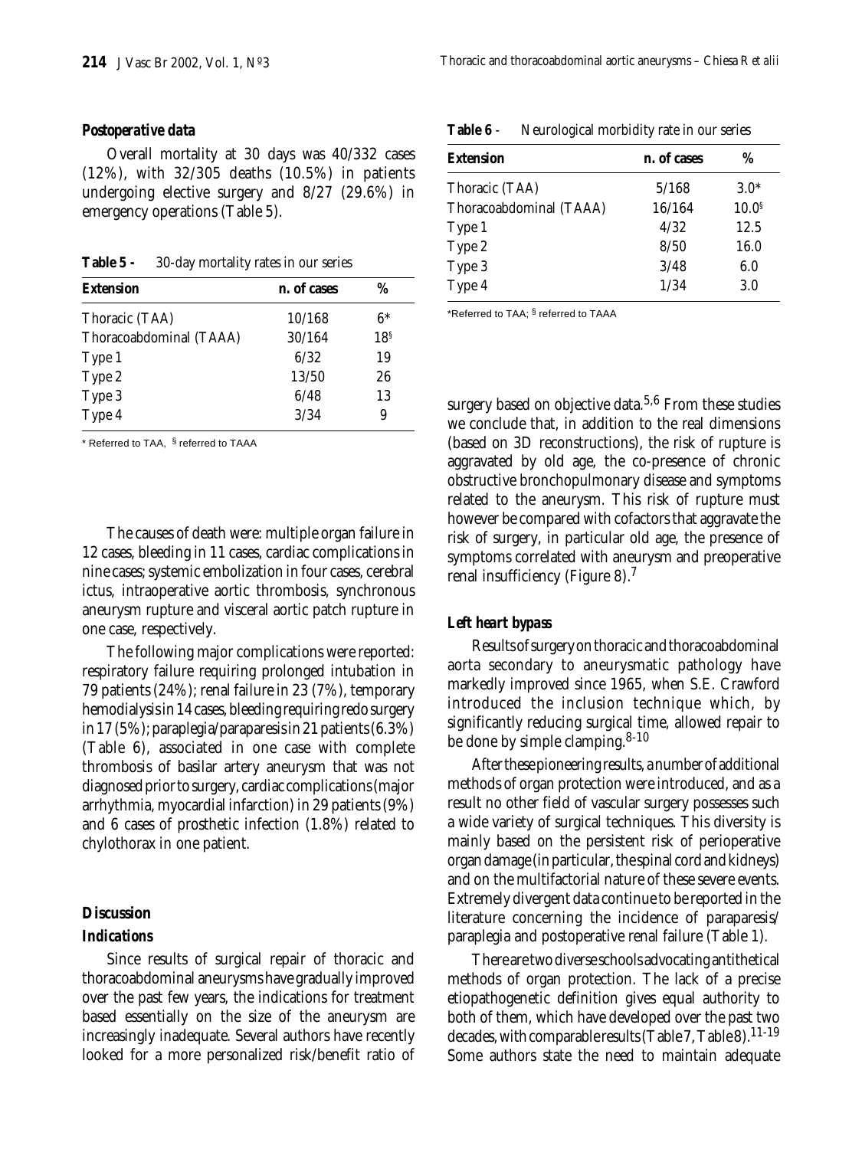#### *Postoperative data*

Overall mortality at 30 days was 40/332 cases (12%), with 32/305 deaths (10.5%) in patients undergoing elective surgery and 8/27 (29.6%) in emergency operations (Table 5).

**Table 5 -** 30-day mortality rates in our series

| <b>Extension</b>        | n. of cases | %               |
|-------------------------|-------------|-----------------|
| Thoracic (TAA)          | 10/168      | $6*$            |
| Thoracoabdominal (TAAA) | 30/164      | 18 <sup>§</sup> |
| Type 1                  | 6/32        | 19              |
| Type 2                  | 13/50       | 26              |
| Type 3                  | 6/48        | 13              |
| Type 4                  | 3/34        | 9               |

\* Referred to TAA, § referred to TAAA

The causes of death were: multiple organ failure in 12 cases, bleeding in 11 cases, cardiac complications in nine cases; systemic embolization in four cases, cerebral ictus, intraoperative aortic thrombosis, synchronous aneurysm rupture and visceral aortic patch rupture in one case, respectively.

The following major complications were reported: respiratory failure requiring prolonged intubation in 79 patients (24%); renal failure in 23 (7%), temporary hemodialysis in 14 cases, bleeding requiring redo surgery in 17 (5%); paraplegia/paraparesis in 21 patients (6.3%) (Table 6), associated in one case with complete thrombosis of basilar artery aneurysm that was not diagnosed prior to surgery, cardiac complications (major arrhythmia, myocardial infarction) in 29 patients (9%) and 6 cases of prosthetic infection (1.8%) related to chylothorax in one patient.

#### **Discussion**

#### *Indications*

Since results of surgical repair of thoracic and thoracoabdominal aneurysms have gradually improved over the past few years, the indications for treatment based essentially on the size of the aneurysm are increasingly inadequate. Several authors have recently looked for a more personalized risk/benefit ratio of

| n. of cases | %                 |
|-------------|-------------------|
|             |                   |
| 5/168       | $3.0*$            |
| 16/164      | 10.0 <sup>s</sup> |
| 4/32        | 12.5              |
| 8/50        | 16.0              |
| 3/48        | 6.0               |
| 1/34        | 3.0               |
|             |                   |

**Table 6** - Neurological morbidity rate in our series

\*Referred to TAA; § referred to TAAA

surgery based on objective data.<sup>5,6</sup> From these studies we conclude that, in addition to the real dimensions (based on 3D reconstructions), the risk of rupture is aggravated by old age, the co-presence of chronic obstructive bronchopulmonary disease and symptoms related to the aneurysm. This risk of rupture must however be compared with cofactors that aggravate the risk of surgery, in particular old age, the presence of symptoms correlated with aneurysm and preoperative renal insufficiency (Figure 8).7

#### *Left heart bypass*

Results of surgery on thoracic and thoracoabdominal aorta secondary to aneurysmatic pathology have markedly improved since 1965, when S.E. Crawford introduced the inclusion technique which, by significantly reducing surgical time, allowed repair to be done by simple clamping.<sup>8-10</sup>

After these pioneering results, a number of additional methods of organ protection were introduced, and as a result no other field of vascular surgery possesses such a wide variety of surgical techniques. This diversity is mainly based on the persistent risk of perioperative organ damage (in particular, the spinal cord and kidneys) and on the multifactorial nature of these severe events. Extremely divergent data continue to be reported in the literature concerning the incidence of paraparesis/ paraplegia and postoperative renal failure (Table 1).

There are two diverse schools advocating antithetical methods of organ protection. The lack of a precise etiopathogenetic definition gives equal authority to both of them, which have developed over the past two decades, with comparable results (Table 7, Table 8).<sup>11-19</sup> Some authors state the need to maintain adequate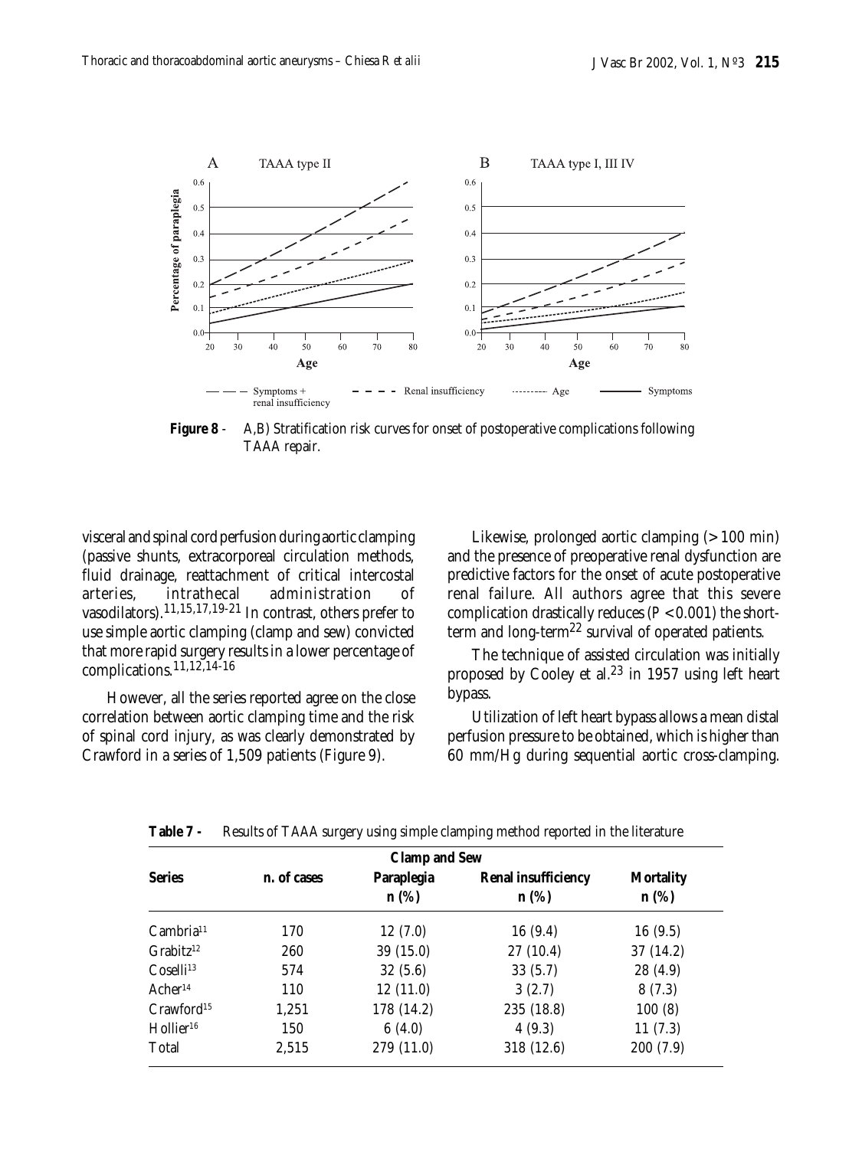

**Figure 8** - A,B) Stratification risk curves for onset of postoperative complications following TAAA repair.

visceral and spinal cord perfusion during aortic clamping (passive shunts, extracorporeal circulation methods, fluid drainage, reattachment of critical intercostal arteries, intrathecal administration of vasodilators).11,15,17,19-21 In contrast, others prefer to use simple aortic clamping (clamp and sew) convicted that more rapid surgery results in a lower percentage of complications.11,12,14-16

However, all the series reported agree on the close correlation between aortic clamping time and the risk of spinal cord injury, as was clearly demonstrated by Crawford in a series of 1,509 patients (Figure 9).

Likewise, prolonged aortic clamping (> 100 min) and the presence of preoperative renal dysfunction are predictive factors for the onset of acute postoperative renal failure. All authors agree that this severe complication drastically reduces (*P* < 0.001) the shortterm and long-term<sup>22</sup> survival of operated patients.

The technique of assisted circulation was initially proposed by Cooley et al.23 in 1957 using left heart bypass.

Utilization of left heart bypass allows a mean distal perfusion pressure to be obtained, which is higher than 60 mm/Hg during sequential aortic cross-clamping.

| <b>Clamp and Sew</b>     |             |                       |                                       |                          |
|--------------------------|-------------|-----------------------|---------------------------------------|--------------------------|
| <b>Series</b>            | n. of cases | Paraplegia<br>$n$ (%) | <b>Renal insufficiency</b><br>$n$ (%) | <b>Mortality</b><br>n(%) |
| Cambria <sup>11</sup>    | 170         | 12(7.0)               | 16(9.4)                               | 16(9.5)                  |
| $G$ rabitz <sup>12</sup> | 260         | 39(15.0)              | 27(10.4)                              | 37 (14.2)                |
| Coselli <sup>13</sup>    | 574         | 32(5.6)               | 33(5.7)                               | 28 (4.9)                 |
| Acher <sup>14</sup>      | 110         | 12(11.0)              | 3(2.7)                                | 8(7.3)                   |
| Crawford <sup>15</sup>   | 1,251       | 178 (14.2)            | 235 (18.8)                            | 100(8)                   |
| Hollier <sup>16</sup>    | 150         | 6(4.0)                | 4(9.3)                                | 11(7.3)                  |
| Total                    | 2,515       | 279 (11.0)            | 318 (12.6)                            | 200 (7.9)                |

**Table 7 -** Results of TAAA surgery using simple clamping method reported in the literature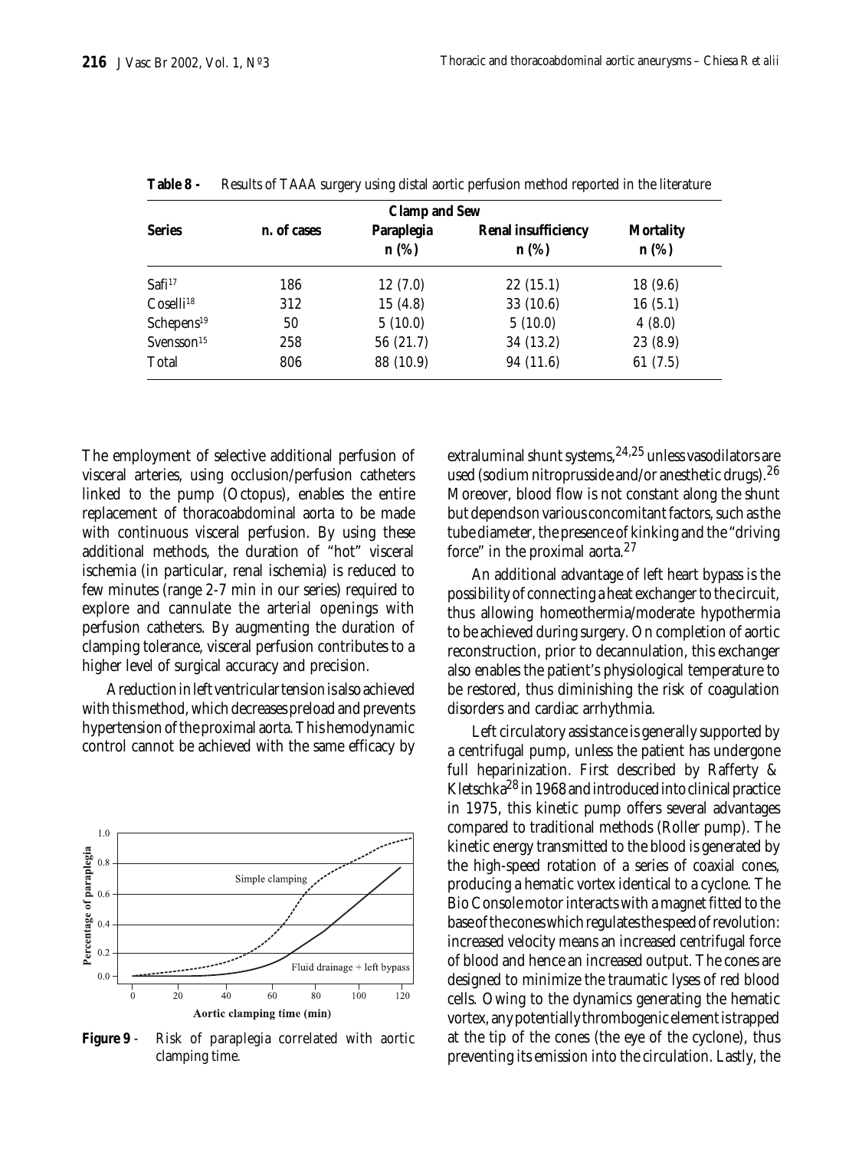| <b>Clamp and Sew</b>   |             |                    |                                       |                             |
|------------------------|-------------|--------------------|---------------------------------------|-----------------------------|
| <b>Series</b>          | n. of cases | Paraplegia<br>n(%) | <b>Renal insufficiency</b><br>$n$ (%) | <b>Mortality</b><br>$n$ (%) |
| Safi <sup>17</sup>     | 186         | 12(7.0)            | 22(15.1)                              | 18(9.6)                     |
| Coselli <sup>18</sup>  | 312         | 15(4.8)            | 33(10.6)                              | 16(5.1)                     |
| Schepens <sup>19</sup> | 50          | 5(10.0)            | 5(10.0)                               | 4(8.0)                      |
| Svensson <sup>15</sup> | 258         | 56 (21.7)          | 34 (13.2)                             | 23(8.9)                     |
| Total                  | 806         | 88 (10.9)          | 94 (11.6)                             | 61(7.5)                     |

**Table 8 -** Results of TAAA surgery using distal aortic perfusion method reported in the literature

The employment of selective additional perfusion of visceral arteries, using occlusion/perfusion catheters linked to the pump (Octopus), enables the entire replacement of thoracoabdominal aorta to be made with continuous visceral perfusion. By using these additional methods, the duration of "hot" visceral ischemia (in particular, renal ischemia) is reduced to few minutes (range 2-7 min in our series) required to explore and cannulate the arterial openings with perfusion catheters. By augmenting the duration of clamping tolerance, visceral perfusion contributes to a higher level of surgical accuracy and precision.

A reduction in left ventricular tension is also achieved with this method, which decreases preload and prevents hypertension of the proximal aorta. This hemodynamic control cannot be achieved with the same efficacy by



**Figure 9** - Risk of paraplegia correlated with aortic clamping time.

extraluminal shunt systems,  $24.25$  unless vasodilators are used (sodium nitroprusside and/or anesthetic drugs).  $26$ Moreover, blood flow is not constant along the shunt but depends on various concomitant factors, such as the tube diameter, the presence of kinking and the "driving force" in the proximal aorta.<sup>27</sup>

An additional advantage of left heart bypass is the possibility of connecting a heat exchanger to the circuit, thus allowing homeothermia/moderate hypothermia to be achieved during surgery. On completion of aortic reconstruction, prior to decannulation, this exchanger also enables the patient's physiological temperature to be restored, thus diminishing the risk of coagulation disorders and cardiac arrhythmia.

Left circulatory assistance is generally supported by a centrifugal pump, unless the patient has undergone full heparinization. First described by Rafferty & Kletschka<sup>28</sup> in 1968 and introduced into clinical practice in 1975, this kinetic pump offers several advantages compared to traditional methods (Roller pump). The kinetic energy transmitted to the blood is generated by the high-speed rotation of a series of coaxial cones, producing a hematic vortex identical to a cyclone. The Bio Console motor interacts with a magnet fitted to the base of the cones which regulates the speed of revolution: increased velocity means an increased centrifugal force of blood and hence an increased output. The cones are designed to minimize the traumatic lyses of red blood cells. Owing to the dynamics generating the hematic vortex, any potentially thrombogenic element is trapped at the tip of the cones (the eye of the cyclone), thus preventing its emission into the circulation. Lastly, the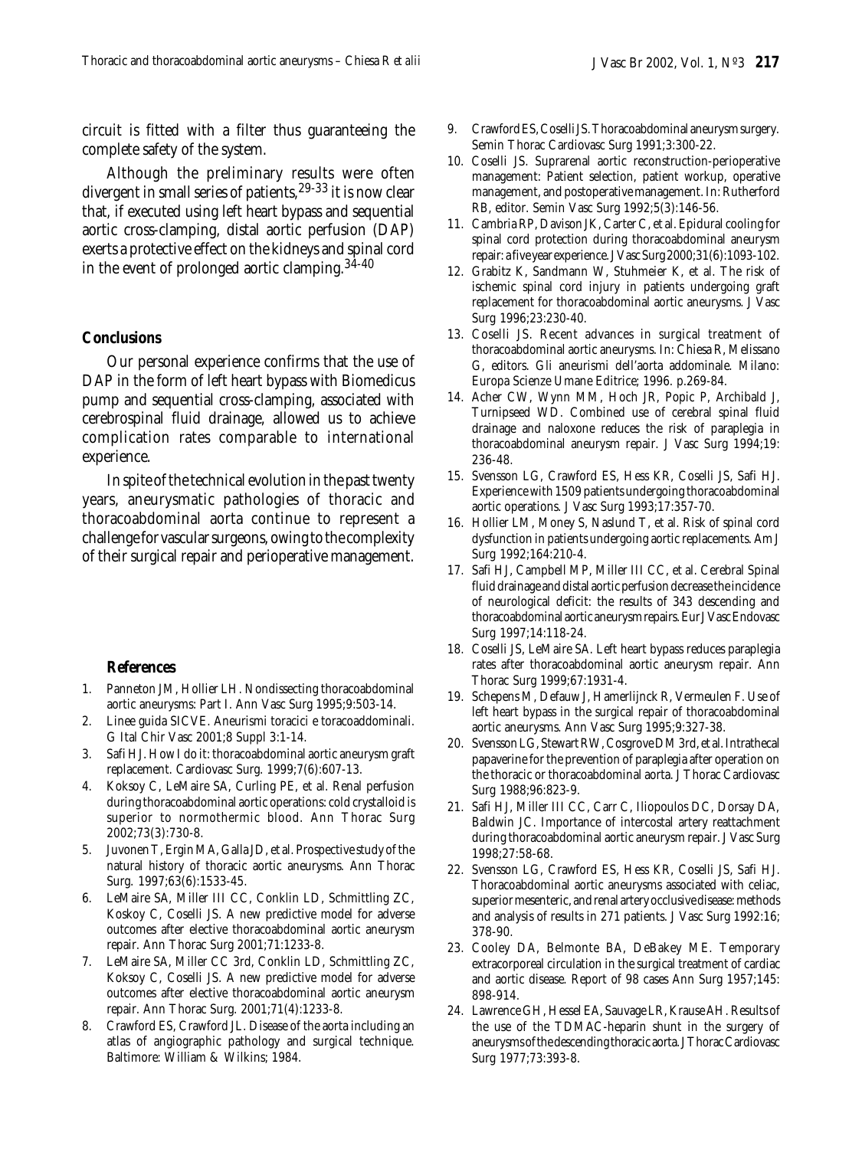circuit is fitted with a filter thus guaranteeing the complete safety of the system.

Although the preliminary results were often divergent in small series of patients,<sup>29-33</sup> it is now clear that, if executed using left heart bypass and sequential aortic cross-clamping, distal aortic perfusion (DAP) exerts a protective effect on the kidneys and spinal cord in the event of prolonged aortic clamping.  $34-40$ 

#### **Conclusions**

Our personal experience confirms that the use of DAP in the form of left heart bypass with Biomedicus pump and sequential cross-clamping, associated with cerebrospinal fluid drainage, allowed us to achieve complication rates comparable to international experience.

In spite of the technical evolution in the past twenty years, aneurysmatic pathologies of thoracic and thoracoabdominal aorta continue to represent a challenge for vascular surgeons, owing to the complexity of their surgical repair and perioperative management.

#### **References**

- 1. Panneton JM, Hollier LH. Nondissecting thoracoabdominal aortic aneurysms: Part I. Ann Vasc Surg 1995;9:503-14.
- 2. Linee guida SICVE. Aneurismi toracici e toracoaddominali. G Ital Chir Vasc 2001;8 Suppl 3:1-14.
- 3. Safi HJ. How I do it: thoracoabdominal aortic aneurysm graft replacement. Cardiovasc Surg. 1999;7(6):607-13.
- 4. Koksoy C, LeMaire SA, Curling PE, et al. Renal perfusion during thoracoabdominal aortic operations: cold crystalloid is superior to normothermic blood. Ann Thorac Surg 2002;73(3):730-8.
- 5. Juvonen T, Ergin MA, Galla JD, et al. Prospective study of the natural history of thoracic aortic aneurysms. Ann Thorac Surg. 1997;63(6):1533-45.
- 6. LeMaire SA, Miller III CC, Conklin LD, Schmittling ZC, Koskoy C, Coselli JS. A new predictive model for adverse outcomes after elective thoracoabdominal aortic aneurysm repair. Ann Thorac Surg 2001;71:1233-8.
- 7. LeMaire SA, Miller CC 3rd, Conklin LD, Schmittling ZC, Koksoy C, Coselli JS. A new predictive model for adverse outcomes after elective thoracoabdominal aortic aneurysm repair. Ann Thorac Surg. 2001;71(4):1233-8.
- 8. Crawford ES, Crawford JL. Disease of the aorta including an atlas of angiographic pathology and surgical technique. Baltimore: William & Wilkins; 1984.
- 9. Crawford ES, Coselli JS. Thoracoabdominal aneurysm surgery. Semin Thorac Cardiovasc Surg 1991;3:300-22.
- 10. Coselli JS. Suprarenal aortic reconstruction-perioperative management: Patient selection, patient workup, operative management, and postoperative management. In: Rutherford RB, editor. Semin Vasc Surg 1992;5(3):146-56.
- 11. Cambria RP, Davison JK, Carter C, et al. Epidural cooling for spinal cord protection during thoracoabdominal aneurysm repair: a five year experience. J Vasc Surg 2000;31(6):1093-102.
- 12. Grabitz K, Sandmann W, Stuhmeier K, et al. The risk of ischemic spinal cord injury in patients undergoing graft replacement for thoracoabdominal aortic aneurysms. J Vasc Surg 1996;23:230-40.
- 13. Coselli JS. Recent advances in surgical treatment of thoracoabdominal aortic aneurysms. In: Chiesa R, Melissano G, editors. Gli aneurismi dell'aorta addominale. Milano: Europa Scienze Umane Editrice; 1996. p.269-84.
- 14. Acher CW, Wynn MM, Hoch JR, Popic P, Archibald J, Turnipseed WD. Combined use of cerebral spinal fluid drainage and naloxone reduces the risk of paraplegia in thoracoabdominal aneurysm repair. J Vasc Surg 1994;19: 236-48.
- 15. Svensson LG, Crawford ES, Hess KR, Coselli JS, Safi HJ. Experience with 1509 patients undergoing thoracoabdominal aortic operations. J Vasc Surg 1993;17:357-70.
- 16. Hollier LM, Money S, Naslund T, et al. Risk of spinal cord dysfunction in patients undergoing aortic replacements. Am J Surg 1992;164:210-4.
- 17. Safi HJ, Campbell MP, Miller III CC, et al. Cerebral Spinal fluid drainage and distal aortic perfusion decrease the incidence of neurological deficit: the results of 343 descending and thoracoabdominal aortic aneurysm repairs. Eur J Vasc Endovasc Surg 1997;14:118-24.
- 18. Coselli JS, LeMaire SA. Left heart bypass reduces paraplegia rates after thoracoabdominal aortic aneurysm repair. Ann Thorac Surg 1999;67:1931-4.
- 19. Schepens M, Defauw J, Hamerlijnck R, Vermeulen F. Use of left heart bypass in the surgical repair of thoracoabdominal aortic aneurysms. Ann Vasc Surg 1995;9:327-38.
- 20. Svensson LG, Stewart RW, Cosgrove DM 3rd, et al. Intrathecal papaverine for the prevention of paraplegia after operation on the thoracic or thoracoabdominal aorta. J Thorac Cardiovasc Surg 1988;96:823-9.
- 21. Safi HJ, Miller III CC, Carr C, Iliopoulos DC, Dorsay DA, Baldwin JC. Importance of intercostal artery reattachment during thoracoabdominal aortic aneurysm repair. J Vasc Surg 1998;27:58-68.
- 22. Svensson LG, Crawford ES, Hess KR, Coselli JS, Safi HJ. Thoracoabdominal aortic aneurysms associated with celiac, superior mesenteric, and renal artery occlusive disease: methods and analysis of results in 271 patients. J Vasc Surg 1992:16; 378-90.
- 23. Cooley DA, Belmonte BA, DeBakey ME. Temporary extracorporeal circulation in the surgical treatment of cardiac and aortic disease. Report of 98 cases Ann Surg 1957;145: 898-914.
- 24. Lawrence GH, Hessel EA, Sauvage LR, Krause AH. Results of the use of the TDMAC-heparin shunt in the surgery of aneurysms of the descending thoracic aorta. J Thorac Cardiovasc Surg 1977;73:393-8.